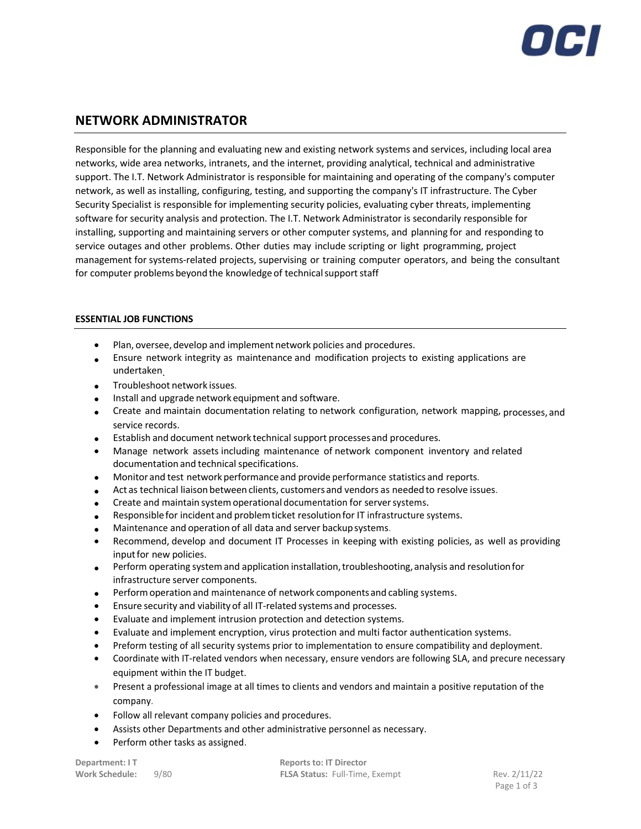

# **NETWORK ADMINISTRATOR**

Responsible for the planning and evaluating new and existing network systems and services, including local area networks, wide area networks, intranets, and the internet, providing analytical, technical and administrative support. The I.T. Network Administrator is responsible for maintaining and operating of the company's computer network, as well as installing, configuring, testing, and supporting the company's IT infrastructure. The Cyber Security Specialist is responsible for implementing security policies, evaluating cyber threats, implementing software for security analysis and protection. The I.T. Network Administrator is secondarily responsible for installing, supporting and maintaining servers or other computer systems, and planning for and responding to service outages and other problems. Other duties may include scripting or light programming, project management for systems-related projects, supervising or training computer operators, and being the consultant for computer problems beyond the knowledge of technical support staff

# **ESSENTIAL JOB FUNCTIONS**

- Plan, oversee, develop and implement network policies and procedures.
- Ensure network integrity as maintenance and modification projects to existing applications are undertaken.
- Troubleshoot network issues.
- Install and upgrade network equipment and software.
- Create and maintain documentation relating to network configuration, network mapping, processes, and service records.
- Establish and document network technical support processesand procedures.
- Manage network assets including maintenance of network component inventory and related documentation and technical specifications.
- Monitor and test network performance and provide performance statistics and reports.
- Act as technical liaison between clients, customers and vendors as neededto resolve issues.
- Create and maintain system operational documentation for server systems.
- Responsible for incident and problem ticket resolution for IT infrastructure systems.
- Maintenance and operation of all data and server backupsystems.
- Recommend, develop and document IT Processes in keeping with existing policies, as well as providing inputfor new policies.
- Perform operating system and application installation, troubleshooting, analysis and resolution for infrastructure server components.
- Performoperation and maintenance of network componentsand cabling systems.
- Ensure security and viabilityof all IT-related systems and processes.
- Evaluate and implement intrusion protection and detection systems.
- Evaluate and implement encryption, virus protection and multi factor authentication systems.
- Preform testing of all security systems prior to implementation to ensure compatibility and deployment.
- Coordinate with IT-related vendors when necessary, ensure vendors are following SLA, and precure necessary equipment within the IT budget.
- Present a professional image at all times to clients and vendors and maintain a positive reputation of the company.
- Follow all relevant company policies and procedures.
- Assists other Departments and other administrative personnel as necessary.
- Perform other tasks as assigned.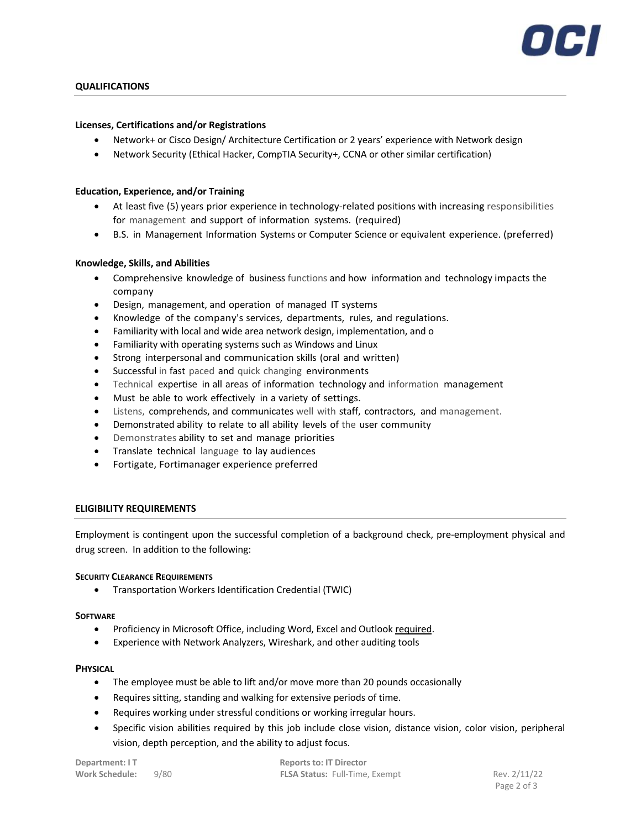

# **QUALIFICATIONS**

### **Licenses, Certifications and/or Registrations**

- Network+ or Cisco Design/ Architecture Certification or 2 years' experience with Network design
- Network Security (Ethical Hacker, CompTIA Security+, CCNA or other similar certification)

#### **Education, Experience, and/or Training**

- At least five (5) years prior experience in technology-related positions with increasing responsibilities for management and support of information systems. (required)
- B.S. in Management Information Systems or Computer Science or equivalent experience. (preferred)

#### **Knowledge, Skills, and Abilities**

- Comprehensive knowledge of business functions and how information and technology impacts the company
- Design, management, and operation of managed IT systems
- Knowledge of the company's services, departments, rules, and regulations.
- Familiarity with local and wide area network design, implementation, and o
- Familiarity with operating systems such as Windows and Linux
- Strong interpersonal and communication skills (oral and written)
- Successful in fast paced and quick changing environments
- Technical expertise in all areas of information technology and information management
- Must be able to work effectively in a variety of settings.
- Listens, comprehends, and communicates well with staff, contractors, and management.
- Demonstrated ability to relate to all ability levels of the user community
- Demonstrates ability to set and manage priorities
- Translate technical language to lay audiences
- Fortigate, Fortimanager experience preferred

## **ELIGIBILITY REQUIREMENTS**

Employment is contingent upon the successful completion of a background check, pre-employment physical and drug screen. In addition to the following:

#### **SECURITY CLEARANCE REQUIREMENTS**

• Transportation Workers Identification Credential (TWIC)

#### **SOFTWARE**

- Proficiency in Microsoft Office, including Word, Excel and Outlook required.
- Experience with Network Analyzers, Wireshark, and other auditing tools

## **PHYSICAL**

- The employee must be able to lift and/or move more than 20 pounds occasionally
- Requires sitting, standing and walking for extensive periods of time.
- Requires working under stressful conditions or working irregular hours.
- Specific vision abilities required by this job include close vision, distance vision, color vision, peripheral vision, depth perception, and the ability to adjust focus.